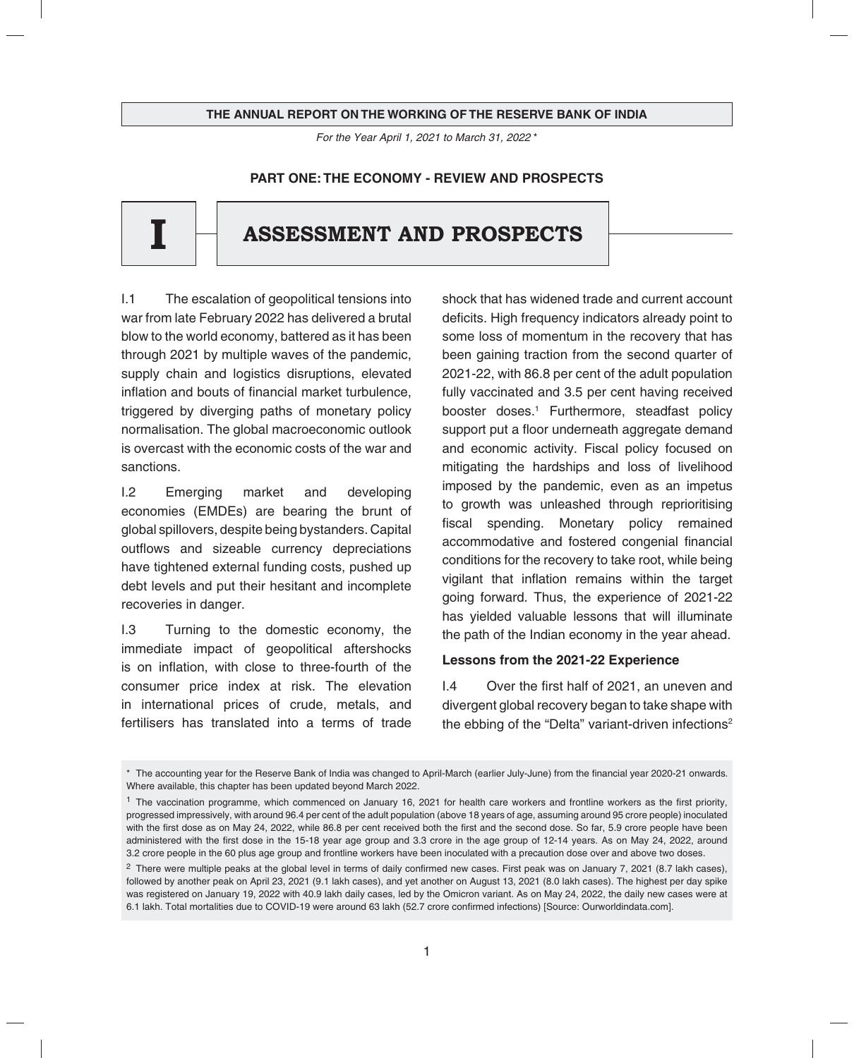#### THE ANNUAL REPORT ON THE WORKING OF THE RESERVE BANK OF INDIA

*For the Year July 1, 2016 to June 30, 2017\* For the Year April 1, 2021 to March 31, 2022* \*

## **PART ONE: THE ECONOMY - REVIEW AND PROSPECTS**

# **I ASSESSMENT AND PROSPECTS**

I.1 The escalation of geopolitical tensions into war from late February 2022 has delivered a brutal blow to the world economy, battered as it has been through 2021 by multiple waves of the pandemic, supply chain and logistics disruptions, elevated inflation and bouts of financial market turbulence. triggered by diverging paths of monetary policy normalisation. The global macroeconomic outlook is overcast with the economic costs of the war and sanctions.

I.2 Emerging market and developing economies (EMDEs) are bearing the brunt of global spillovers, despite being bystanders. Capital outflows and sizeable currency depreciations have tightened external funding costs, pushed up debt levels and put their hesitant and incomplete recoveries in danger.

I.3 Turning to the domestic economy, the immediate impact of geopolitical aftershocks is on inflation, with close to three-fourth of the consumer price index at risk. The elevation in international prices of crude, metals, and fertilisers has translated into a terms of trade

shock that has widened trade and current account deficits. High frequency indicators already point to some loss of momentum in the recovery that has been gaining traction from the second quarter of 2021-22, with 86.8 per cent of the adult population fully vaccinated and 3.5 per cent having received booster doses.1 Furthermore, steadfast policy support put a floor underneath aggregate demand and economic activity. Fiscal policy focused on mitigating the hardships and loss of livelihood imposed by the pandemic, even as an impetus to growth was unleashed through reprioritising fiscal spending. Monetary policy remained accommodative and fostered congenial financial conditions for the recovery to take root, while being vigilant that inflation remains within the target going forward. Thus, the experience of 2021-22 has yielded valuable lessons that will illuminate the path of the Indian economy in the year ahead.

## **Lessons from the 2021-22 Experience**

I.4 Over the first half of 2021, an uneven and divergent global recovery began to take shape with the ebbing of the "Delta" variant-driven infections<sup>2</sup>

<sup>\*</sup> The accounting year for the Reserve Bank of India was changed to April-March (earlier July-June) from the financial year 2020-21 onwards. Where available, this chapter has been updated beyond March 2022.

 $1$  The vaccination programme, which commenced on January 16, 2021 for health care workers and frontline workers as the first priority, progressed impressively, with around 96.4 per cent of the adult population (above 18 years of age, assuming around 95 crore people) inoculated with the first dose as on May 24, 2022, while 86.8 per cent received both the first and the second dose. So far, 5.9 crore people have been administered with the first dose in the 15-18 year age group and 3.3 crore in the age group of 12-14 years. As on May 24, 2022, around 3.2 crore people in the 60 plus age group and frontline workers have been inoculated with a precaution dose over and above two doses.

 $2$  There were multiple peaks at the global level in terms of daily confirmed new cases. First peak was on January 7, 2021 (8.7 lakh cases), followed by another peak on April 23, 2021 (9.1 lakh cases), and yet another on August 13, 2021 (8.0 lakh cases). The highest per day spike was registered on January 19, 2022 with 40.9 lakh daily cases, led by the Omicron variant. As on May 24, 2022, the daily new cases were at 6.1 lakh. Total mortalities due to COVID-19 were around 63 lakh (52.7 crore confirmed infections) [Source: Ourworldindata.com].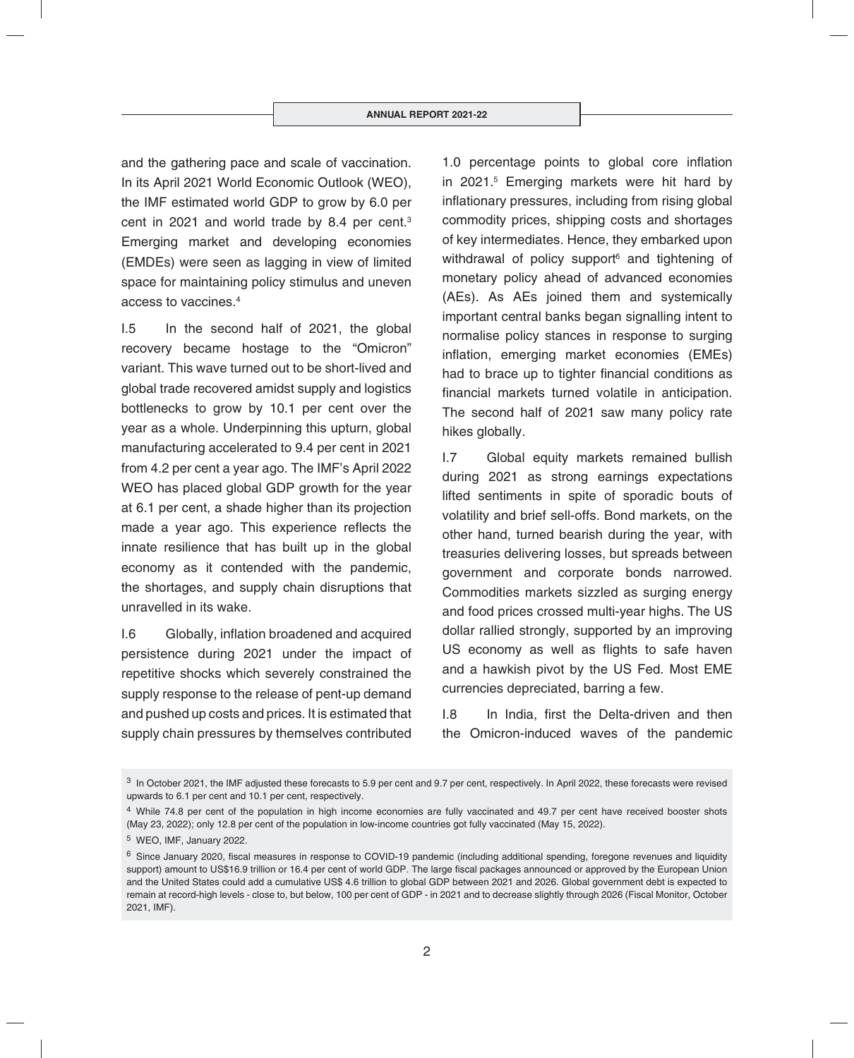and the gathering pace and scale of vaccination. In its April 2021 World Economic Outlook (WEO), the IMF estimated world GDP to grow by 6.0 per cent in 2021 and world trade by 8.4 per cent.3 Emerging market and developing economies (EMDEs) were seen as lagging in view of limited space for maintaining policy stimulus and uneven access to vaccines.4

I.5 In the second half of 2021, the global recovery became hostage to the "Omicron" variant. This wave turned out to be short-lived and global trade recovered amidst supply and logistics bottlenecks to grow by 10.1 per cent over the year as a whole. Underpinning this upturn, global manufacturing accelerated to 9.4 per cent in 2021 from 4.2 per cent a year ago. The IMF's April 2022 WEO has placed global GDP growth for the year at 6.1 per cent, a shade higher than its projection made a year ago. This experience reflects the innate resilience that has built up in the global economy as it contended with the pandemic, the shortages, and supply chain disruptions that unravelled in its wake.

I.6 Globally, inflation broadened and acquired persistence during 2021 under the impact of repetitive shocks which severely constrained the supply response to the release of pent-up demand and pushed up costs and prices. It is estimated that supply chain pressures by themselves contributed

1.0 percentage points to global core inflation in 2021.5 Emerging markets were hit hard by inflationary pressures, including from rising global commodity prices, shipping costs and shortages of key intermediates. Hence, they embarked upon withdrawal of policy support<sup>6</sup> and tightening of monetary policy ahead of advanced economies (AEs). As AEs joined them and systemically important central banks began signalling intent to normalise policy stances in response to surging inflation, emerging market economies (EMEs) had to brace up to tighter financial conditions as financial markets turned volatile in anticipation. The second half of 2021 saw many policy rate hikes globally.

I.7 Global equity markets remained bullish during 2021 as strong earnings expectations lifted sentiments in spite of sporadic bouts of volatility and brief sell-offs. Bond markets, on the other hand, turned bearish during the year, with treasuries delivering losses, but spreads between government and corporate bonds narrowed. Commodities markets sizzled as surging energy and food prices crossed multi-year highs. The US dollar rallied strongly, supported by an improving US economy as well as flights to safe haven and a hawkish pivot by the US Fed. Most EME currencies depreciated, barring a few.

I.8 In India, first the Delta-driven and then the Omicron-induced waves of the pandemic

<sup>&</sup>lt;sup>3</sup> In October 2021, the IMF adjusted these forecasts to 5.9 per cent and 9.7 per cent, respectively. In April 2022, these forecasts were revised upwards to 6.1 per cent and 10.1 per cent, respectively.

<sup>&</sup>lt;sup>4</sup> While 74.8 per cent of the population in high income economies are fully vaccinated and 49.7 per cent have received booster shots (May 23, 2022); only 12.8 per cent of the population in low-income countries got fully vaccinated (May 15, 2022).

<sup>5</sup> WEO, IMF, January 2022.

 $6$  Since January 2020, fiscal measures in response to COVID-19 pandemic (including additional spending, foregone revenues and liquidity support) amount to US\$16.9 trillion or 16.4 per cent of world GDP. The large fiscal packages announced or approved by the European Union and the United States could add a cumulative US\$ 4.6 trillion to global GDP between 2021 and 2026. Global government debt is expected to remain at record-high levels - close to, but below, 100 per cent of GDP - in 2021 and to decrease slightly through 2026 (Fiscal Monitor, October 2021, IMF).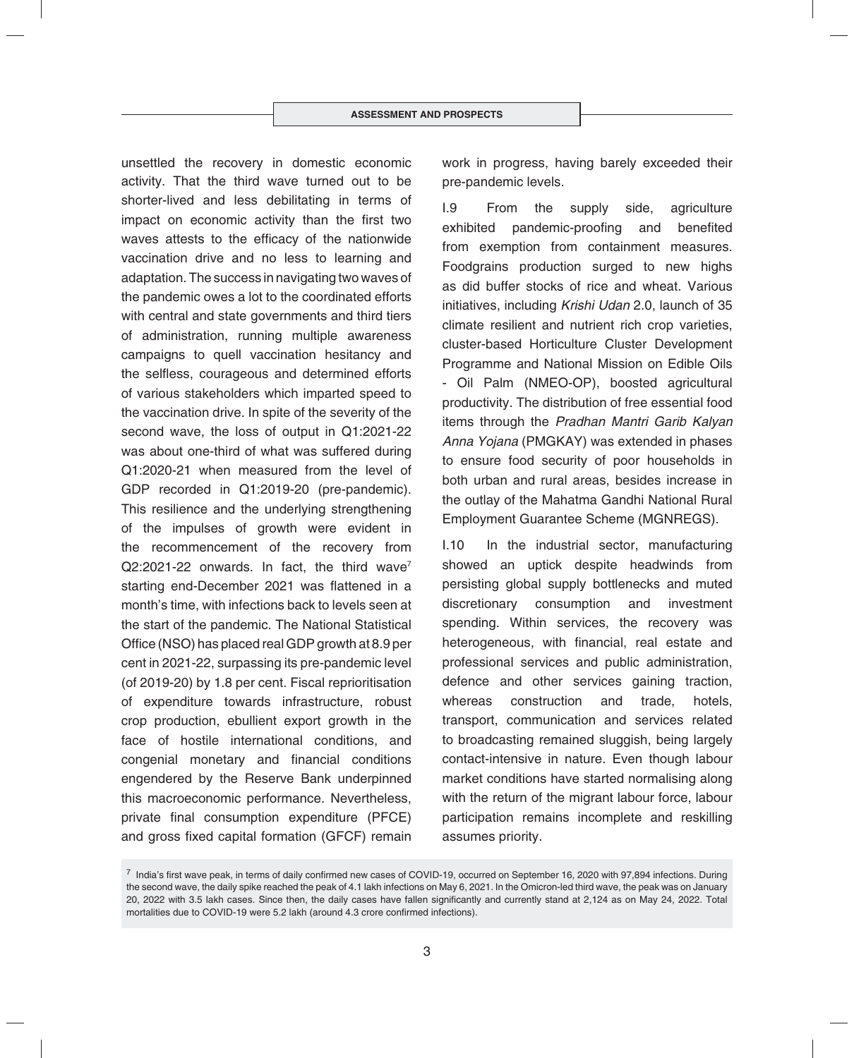unsettled the recovery in domestic economic activity. That the third wave turned out to be shorter-lived and less debilitating in terms of impact on economic activity than the first two waves attests to the efficacy of the nationwide vaccination drive and no less to learning and adaptation. The success in navigating two waves of the pandemic owes a lot to the coordinated efforts with central and state governments and third tiers of administration, running multiple awareness campaigns to quell vaccination hesitancy and the selfless, courageous and determined efforts of various stakeholders which imparted speed to the vaccination drive. In spite of the severity of the second wave, the loss of output in Q1:2021-22 was about one-third of what was suffered during Q1:2020-21 when measured from the level of GDP recorded in Q1:2019-20 (pre-pandemic). This resilience and the underlying strengthening of the impulses of growth were evident in the recommencement of the recovery from  $Q2:2021-22$  onwards. In fact, the third wave<sup>7</sup> starting end-December 2021 was flattened in a month's time, with infections back to levels seen at the start of the pandemic. The National Statistical Office (NSO) has placed real GDP growth at  $8.9$  per cent in 2021-22, surpassing its pre-pandemic level (of 2019-20) by 1.8 per cent. Fiscal reprioritisation of expenditure towards infrastructure, robust crop production, ebullient export growth in the face of hostile international conditions, and congenial monetary and financial conditions engendered by the Reserve Bank underpinned this macroeconomic performance. Nevertheless, private final consumption expenditure (PFCE) and gross fixed capital formation (GFCF) remain

work in progress, having barely exceeded their pre-pandemic levels.

I.9 From the supply side, agriculture exhibited pandemic-proofing and benefited from exemption from containment measures. Foodgrains production surged to new highs as did buffer stocks of rice and wheat. Various initiatives, including *Krishi Udan* 2.0, launch of 35 climate resilient and nutrient rich crop varieties, cluster-based Horticulture Cluster Development Programme and National Mission on Edible Oils - Oil Palm (NMEO-OP), boosted agricultural productivity. The distribution of free essential food items through the *Pradhan Mantri Garib Kalyan Anna Yojana* (PMGKAY) was extended in phases to ensure food security of poor households in both urban and rural areas, besides increase in the outlay of the Mahatma Gandhi National Rural Employment Guarantee Scheme (MGNREGS).

I.10 In the industrial sector, manufacturing showed an uptick despite headwinds from persisting global supply bottlenecks and muted discretionary consumption and investment spending. Within services, the recovery was heterogeneous, with financial, real estate and professional services and public administration, defence and other services gaining traction, whereas construction and trade, hotels, transport, communication and services related to broadcasting remained sluggish, being largely contact-intensive in nature. Even though labour market conditions have started normalising along with the return of the migrant labour force, labour participation remains incomplete and reskilling assumes priority.

 $^7$  India's first wave peak, in terms of daily confirmed new cases of COVID-19, occurred on September 16, 2020 with 97,894 infections. During the second wave, the daily spike reached the peak of 4.1 lakh infections on May 6, 2021. In the Omicron-led third wave, the peak was on January 20, 2022 with 3.5 lakh cases. Since then, the daily cases have fallen significantly and currently stand at 2,124 as on May 24, 2022. Total mortalities due to COVID-19 were 5.2 lakh (around 4.3 crore confirmed infections).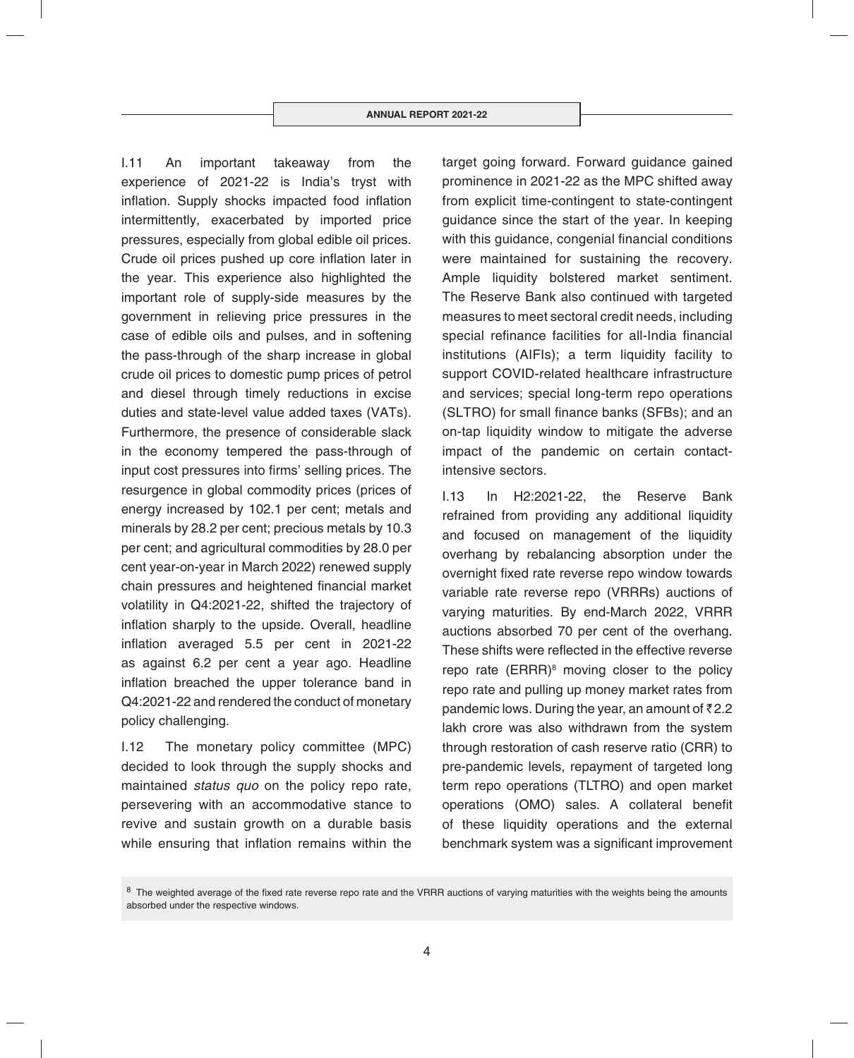I.11 An important takeaway from the experience of 2021-22 is India's tryst with inflation. Supply shocks impacted food inflation intermittently, exacerbated by imported price pressures, especially from global edible oil prices. Crude oil prices pushed up core inflation later in the year. This experience also highlighted the important role of supply-side measures by the government in relieving price pressures in the case of edible oils and pulses, and in softening the pass-through of the sharp increase in global crude oil prices to domestic pump prices of petrol and diesel through timely reductions in excise duties and state-level value added taxes (VATs). Furthermore, the presence of considerable slack in the economy tempered the pass-through of input cost pressures into firms' selling prices. The resurgence in global commodity prices (prices of energy increased by 102.1 per cent; metals and minerals by 28.2 per cent; precious metals by 10.3 per cent; and agricultural commodities by 28.0 per cent year-on-year in March 2022) renewed supply chain pressures and heightened financial market volatility in Q4:2021-22, shifted the trajectory of inflation sharply to the upside. Overall, headline inflation averaged 5.5 per cent in 2021-22 as against 6.2 per cent a year ago. Headline inflation breached the upper tolerance band in Q4:2021-22 and rendered the conduct of monetary policy challenging.

I.12 The monetary policy committee (MPC) decided to look through the supply shocks and maintained *status quo* on the policy repo rate, persevering with an accommodative stance to revive and sustain growth on a durable basis while ensuring that inflation remains within the target going forward. Forward guidance gained prominence in 2021-22 as the MPC shifted away from explicit time-contingent to state-contingent guidance since the start of the year. In keeping with this guidance, congenial financial conditions were maintained for sustaining the recovery. Ample liquidity bolstered market sentiment. The Reserve Bank also continued with targeted measures to meet sectoral credit needs, including special refinance facilities for all-India financial institutions (AIFIs); a term liquidity facility to support COVID-related healthcare infrastructure and services; special long-term repo operations (SLTRO) for small finance banks (SFBs); and an on-tap liquidity window to mitigate the adverse impact of the pandemic on certain contactintensive sectors.

I.13 In H2:2021-22, the Reserve Bank refrained from providing any additional liquidity and focused on management of the liquidity overhang by rebalancing absorption under the overnight fixed rate reverse repo window towards variable rate reverse repo (VRRRs) auctions of varying maturities. By end-March 2022, VRRR auctions absorbed 70 per cent of the overhang. These shifts were reflected in the effective reverse repo rate (ERRR)<sup>8</sup> moving closer to the policy repo rate and pulling up money market rates from pandemic lows. During the year, an amount of  $\bar{z}$  2.2 lakh crore was also withdrawn from the system through restoration of cash reserve ratio (CRR) to pre-pandemic levels, repayment of targeted long term repo operations (TLTRO) and open market operations (OMO) sales. A collateral benefit of these liquidity operations and the external benchmark system was a significant improvement

<sup>&</sup>lt;sup>8</sup> The weighted average of the fixed rate reverse repo rate and the VRRR auctions of varying maturities with the weights being the amounts absorbed under the respective windows.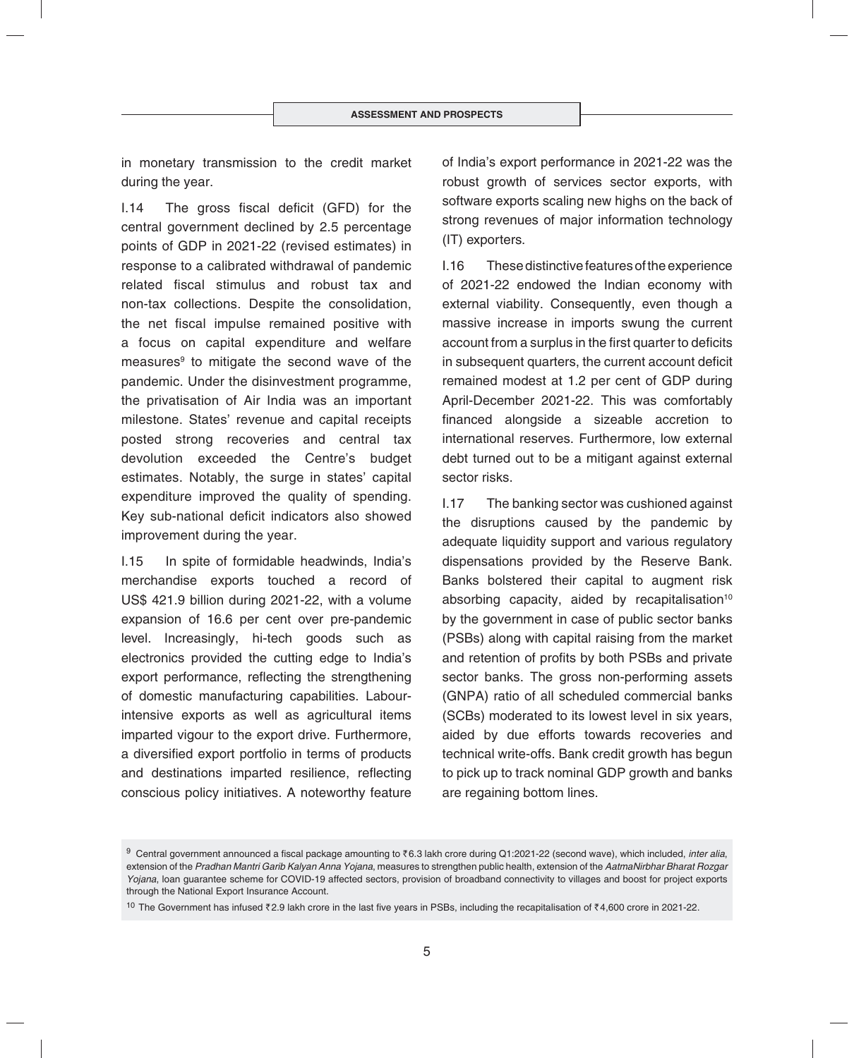in monetary transmission to the credit market during the year.

 $1.14$  The gross fiscal deficit (GFD) for the central government declined by 2.5 percentage points of GDP in 2021-22 (revised estimates) in response to a calibrated withdrawal of pandemic related fiscal stimulus and robust tax and non-tax collections. Despite the consolidation, the net fiscal impulse remained positive with a focus on capital expenditure and welfare measures<sup>9</sup> to mitigate the second wave of the pandemic. Under the disinvestment programme, the privatisation of Air India was an important milestone. States' revenue and capital receipts posted strong recoveries and central tax devolution exceeded the Centre's budget estimates. Notably, the surge in states' capital expenditure improved the quality of spending. Key sub-national deficit indicators also showed improvement during the year.

I.15 In spite of formidable headwinds, India's merchandise exports touched a record of US\$ 421.9 billion during 2021-22, with a volume expansion of 16.6 per cent over pre-pandemic level. Increasingly, hi-tech goods such as electronics provided the cutting edge to India's export performance, reflecting the strengthening of domestic manufacturing capabilities. Labourintensive exports as well as agricultural items imparted vigour to the export drive. Furthermore, a diversified export portfolio in terms of products and destinations imparted resilience, reflecting conscious policy initiatives. A noteworthy feature of India's export performance in 2021-22 was the robust growth of services sector exports, with software exports scaling new highs on the back of strong revenues of major information technology (IT) exporters.

I.16 These distinctive features of the experience of 2021-22 endowed the Indian economy with external viability. Consequently, even though a massive increase in imports swung the current account from a surplus in the first quarter to deficits in subsequent quarters, the current account deficit remained modest at 1.2 per cent of GDP during April-December 2021-22. This was comfortably financed alongside a sizeable accretion to international reserves. Furthermore, low external debt turned out to be a mitigant against external sector risks.

I.17 The banking sector was cushioned against the disruptions caused by the pandemic by adequate liquidity support and various regulatory dispensations provided by the Reserve Bank. Banks bolstered their capital to augment risk absorbing capacity, aided by recapitalisation<sup>10</sup> by the government in case of public sector banks (PSBs) along with capital raising from the market and retention of profits by both PSBs and private sector banks. The gross non-performing assets (GNPA) ratio of all scheduled commercial banks (SCBs) moderated to its lowest level in six years, aided by due efforts towards recoveries and technical write-offs. Bank credit growth has begun to pick up to track nominal GDP growth and banks are regaining bottom lines.

<sup>&</sup>lt;sup>9</sup> Central government announced a fiscal package amounting to ₹6.3 lakh crore during Q1:2021-22 (second wave), which included, *inter alia*, extension of the *Pradhan Mantri Garib Kalyan Anna Yojana*, measures to strengthen public health, extension of the *AatmaNirbhar Bharat Rozgar Yojana*, loan guarantee scheme for COVID-19 affected sectors, provision of broadband connectivity to villages and boost for project exports through the National Export Insurance Account.

<sup>10</sup> The Government has infused  $\bar{z}$  2.9 lakh crore in the last five years in PSBs, including the recapitalisation of  $\bar{z}$ 4,600 crore in 2021-22.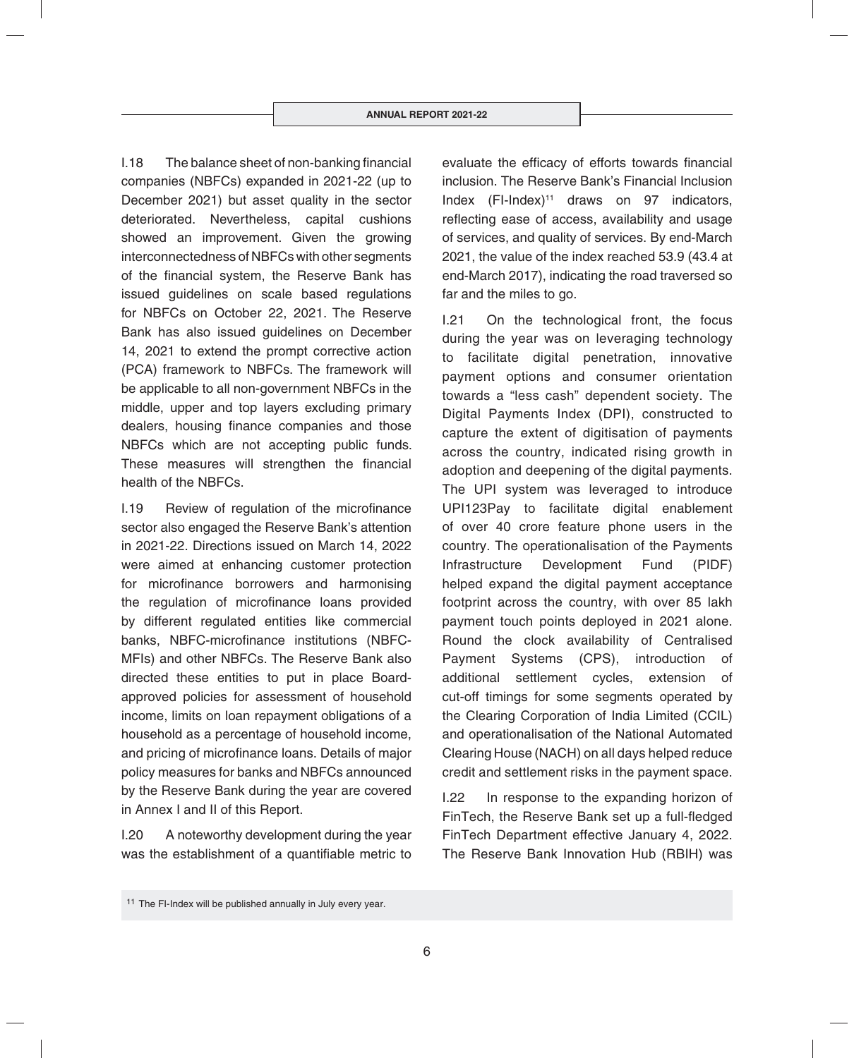$1.18$  The balance sheet of non-banking financial companies (NBFCs) expanded in 2021-22 (up to December 2021) but asset quality in the sector deteriorated. Nevertheless, capital cushions showed an improvement. Given the growing interconnectedness of NBFCs with other segments of the financial system, the Reserve Bank has issued guidelines on scale based regulations for NBFCs on October 22, 2021. The Reserve Bank has also issued guidelines on December 14, 2021 to extend the prompt corrective action (PCA) framework to NBFCs. The framework will be applicable to all non-government NBFCs in the middle, upper and top layers excluding primary dealers, housing finance companies and those NBFCs which are not accepting public funds. These measures will strengthen the financial health of the NBFCs.

I.19 Review of regulation of the microfinance sector also engaged the Reserve Bank's attention in 2021-22. Directions issued on March 14, 2022 were aimed at enhancing customer protection for microfinance borrowers and harmonising the regulation of microfinance loans provided by different regulated entities like commercial banks, NBFC-microfinance institutions (NBFC-MFIs) and other NBFCs. The Reserve Bank also directed these entities to put in place Boardapproved policies for assessment of household income, limits on loan repayment obligations of a household as a percentage of household income, and pricing of microfinance loans. Details of major policy measures for banks and NBFCs announced by the Reserve Bank during the year are covered in Annex I and II of this Report.

I.20 A noteworthy development during the year was the establishment of a quantifiable metric to evaluate the efficacy of efforts towards financial inclusion. The Reserve Bank's Financial Inclusion Index (FI-Index)<sup>11</sup> draws on 97 indicators, reflecting ease of access, availability and usage of services, and quality of services. By end-March 2021, the value of the index reached 53.9 (43.4 at end-March 2017), indicating the road traversed so far and the miles to go.

I.21 On the technological front, the focus during the year was on leveraging technology to facilitate digital penetration, innovative payment options and consumer orientation towards a "less cash" dependent society. The Digital Payments Index (DPI), constructed to capture the extent of digitisation of payments across the country, indicated rising growth in adoption and deepening of the digital payments. The UPI system was leveraged to introduce UPI123Pay to facilitate digital enablement of over 40 crore feature phone users in the country. The operationalisation of the Payments Infrastructure Development Fund (PIDF) helped expand the digital payment acceptance footprint across the country, with over 85 lakh payment touch points deployed in 2021 alone. Round the clock availability of Centralised Payment Systems (CPS), introduction of additional settlement cycles, extension of cut-off timings for some segments operated by the Clearing Corporation of India Limited (CCIL) and operationalisation of the National Automated Clearing House (NACH) on all days helped reduce credit and settlement risks in the payment space.

I.22 In response to the expanding horizon of FinTech, the Reserve Bank set up a full-fledged FinTech Department effective January 4, 2022. The Reserve Bank Innovation Hub (RBIH) was

<sup>&</sup>lt;sup>11</sup> The FI-Index will be published annually in July every year.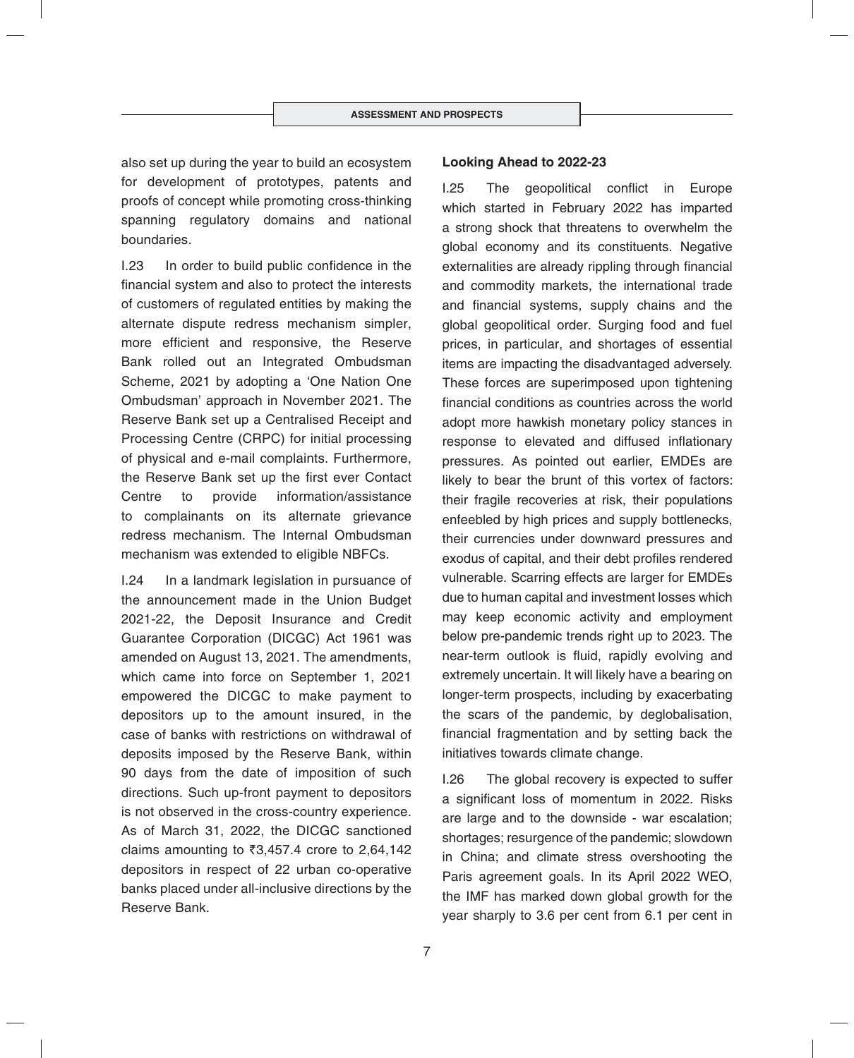also set up during the year to build an ecosystem for development of prototypes, patents and proofs of concept while promoting cross-thinking spanning regulatory domains and national boundaries.

I.23 In order to build public confidence in the financial system and also to protect the interests of customers of regulated entities by making the alternate dispute redress mechanism simpler, more efficient and responsive, the Reserve Bank rolled out an Integrated Ombudsman Scheme, 2021 by adopting a 'One Nation One Ombudsman' approach in November 2021. The Reserve Bank set up a Centralised Receipt and Processing Centre (CRPC) for initial processing of physical and e-mail complaints. Furthermore, the Reserve Bank set up the first ever Contact Centre to provide information/assistance to complainants on its alternate grievance redress mechanism. The Internal Ombudsman mechanism was extended to eligible NBFCs.

I.24 In a landmark legislation in pursuance of the announcement made in the Union Budget 2021-22, the Deposit Insurance and Credit Guarantee Corporation (DICGC) Act 1961 was amended on August 13, 2021. The amendments, which came into force on September 1, 2021 empowered the DICGC to make payment to depositors up to the amount insured, in the case of banks with restrictions on withdrawal of deposits imposed by the Reserve Bank, within 90 days from the date of imposition of such directions. Such up-front payment to depositors is not observed in the cross-country experience. As of March 31, 2022, the DICGC sanctioned claims amounting to  $\overline{3,457.4}$  crore to 2,64,142 depositors in respect of 22 urban co-operative banks placed under all-inclusive directions by the Reserve Bank.

### **Looking Ahead to 2022-23**

I.25 The geopolitical conflict in Europe which started in February 2022 has imparted a strong shock that threatens to overwhelm the global economy and its constituents. Negative externalities are already rippling through financial and commodity markets, the international trade and financial systems, supply chains and the global geopolitical order. Surging food and fuel prices, in particular, and shortages of essential items are impacting the disadvantaged adversely. These forces are superimposed upon tightening financial conditions as countries across the world adopt more hawkish monetary policy stances in response to elevated and diffused inflationary pressures. As pointed out earlier, EMDEs are likely to bear the brunt of this vortex of factors: their fragile recoveries at risk, their populations enfeebled by high prices and supply bottlenecks, their currencies under downward pressures and exodus of capital, and their debt profiles rendered vulnerable. Scarring effects are larger for EMDEs due to human capital and investment losses which may keep economic activity and employment below pre-pandemic trends right up to 2023. The near-term outlook is fluid, rapidly evolving and extremely uncertain. It will likely have a bearing on longer-term prospects, including by exacerbating the scars of the pandemic, by deglobalisation, financial fragmentation and by setting back the initiatives towards climate change.

I.26 The global recovery is expected to suffer a significant loss of momentum in 2022. Risks are large and to the downside - war escalation; shortages; resurgence of the pandemic; slowdown in China; and climate stress overshooting the Paris agreement goals. In its April 2022 WEO, the IMF has marked down global growth for the year sharply to 3.6 per cent from 6.1 per cent in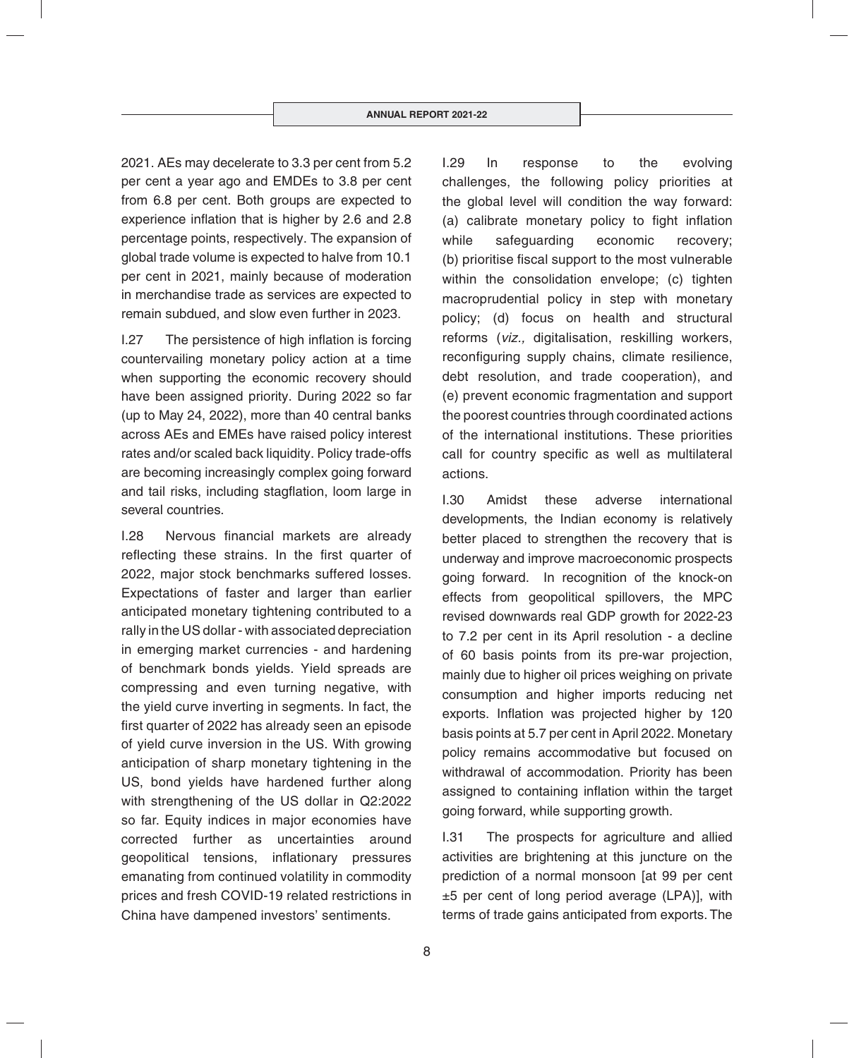2021. AEs may decelerate to 3.3 per cent from 5.2 per cent a year ago and EMDEs to 3.8 per cent from 6.8 per cent. Both groups are expected to experience inflation that is higher by 2.6 and 2.8 percentage points, respectively. The expansion of global trade volume is expected to halve from 10.1 per cent in 2021, mainly because of moderation in merchandise trade as services are expected to remain subdued, and slow even further in 2023.

 $I.27$  The persistence of high inflation is forcing countervailing monetary policy action at a time when supporting the economic recovery should have been assigned priority. During 2022 so far (up to May 24, 2022), more than 40 central banks across AEs and EMEs have raised policy interest rates and/or scaled back liquidity. Policy trade-offs are becoming increasingly complex going forward and tail risks, including stagflation, loom large in several countries.

I.28 Nervous financial markets are already reflecting these strains. In the first quarter of 2022, major stock benchmarks suffered losses. Expectations of faster and larger than earlier anticipated monetary tightening contributed to a rally in the US dollar - with associated depreciation in emerging market currencies - and hardening of benchmark bonds yields. Yield spreads are compressing and even turning negative, with the yield curve inverting in segments. In fact, the first quarter of 2022 has already seen an episode of yield curve inversion in the US. With growing anticipation of sharp monetary tightening in the US, bond yields have hardened further along with strengthening of the US dollar in Q2:2022 so far. Equity indices in major economies have corrected further as uncertainties around geopolitical tensions, inflationary pressures emanating from continued volatility in commodity prices and fresh COVID-19 related restrictions in China have dampened investors' sentiments.

I.29 In response to the evolving challenges, the following policy priorities at the global level will condition the way forward: (a) calibrate monetary policy to fight inflation while safeguarding economic recovery; (b) prioritise fiscal support to the most vulnerable within the consolidation envelope; (c) tighten macroprudential policy in step with monetary policy; (d) focus on health and structural reforms (*viz.,* digitalisation, reskilling workers, reconfiguring supply chains, climate resilience, debt resolution, and trade cooperation), and (e) prevent economic fragmentation and support the poorest countries through coordinated actions of the international institutions. These priorities call for country specific as well as multilateral actions.

I.30 Amidst these adverse international developments, the Indian economy is relatively better placed to strengthen the recovery that is underway and improve macroeconomic prospects going forward. In recognition of the knock-on effects from geopolitical spillovers, the MPC revised downwards real GDP growth for 2022-23 to 7.2 per cent in its April resolution - a decline of 60 basis points from its pre-war projection, mainly due to higher oil prices weighing on private consumption and higher imports reducing net exports. Inflation was projected higher by 120 basis points at 5.7 per cent in April 2022. Monetary policy remains accommodative but focused on withdrawal of accommodation. Priority has been assigned to containing inflation within the target going forward, while supporting growth.

I.31 The prospects for agriculture and allied activities are brightening at this juncture on the prediction of a normal monsoon [at 99 per cent ±5 per cent of long period average (LPA)], with terms of trade gains anticipated from exports. The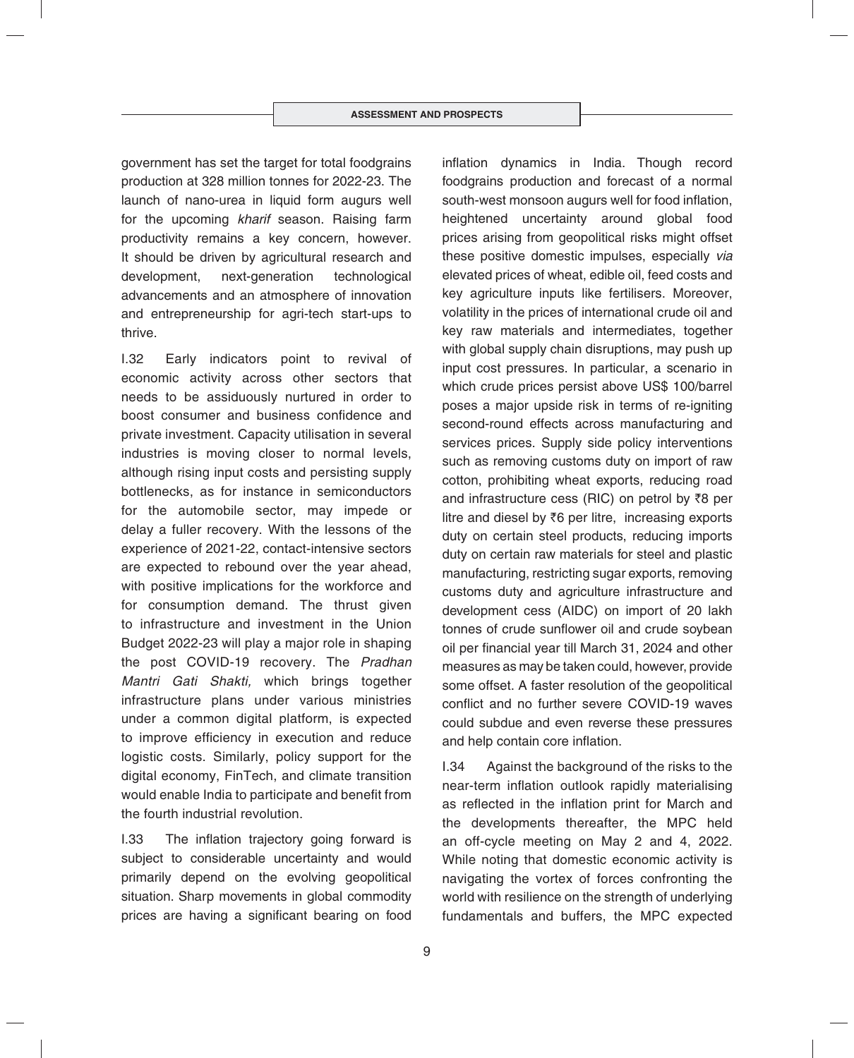government has set the target for total foodgrains production at 328 million tonnes for 2022-23. The launch of nano-urea in liquid form augurs well for the upcoming *kharif* season. Raising farm productivity remains a key concern, however. It should be driven by agricultural research and development, next-generation technological advancements and an atmosphere of innovation and entrepreneurship for agri-tech start-ups to thrive.

I.32 Early indicators point to revival of economic activity across other sectors that needs to be assiduously nurtured in order to boost consumer and business confidence and private investment. Capacity utilisation in several industries is moving closer to normal levels, although rising input costs and persisting supply bottlenecks, as for instance in semiconductors for the automobile sector, may impede or delay a fuller recovery. With the lessons of the experience of 2021-22, contact-intensive sectors are expected to rebound over the year ahead, with positive implications for the workforce and for consumption demand. The thrust given to infrastructure and investment in the Union Budget 2022-23 will play a major role in shaping the post COVID-19 recovery. The *Pradhan Mantri Gati Shakti,* which brings together infrastructure plans under various ministries under a common digital platform, is expected to improve efficiency in execution and reduce logistic costs. Similarly, policy support for the digital economy, FinTech, and climate transition would enable India to participate and benefit from the fourth industrial revolution.

I.33 The inflation trajectory going forward is subject to considerable uncertainty and would primarily depend on the evolving geopolitical situation. Sharp movements in global commodity prices are having a significant bearing on food inflation dynamics in India. Though record foodgrains production and forecast of a normal south-west monsoon augurs well for food inflation, heightened uncertainty around global food prices arising from geopolitical risks might offset these positive domestic impulses, especially *via* elevated prices of wheat, edible oil, feed costs and key agriculture inputs like fertilisers. Moreover, volatility in the prices of international crude oil and key raw materials and intermediates, together with global supply chain disruptions, may push up input cost pressures. In particular, a scenario in which crude prices persist above US\$ 100/barrel poses a major upside risk in terms of re-igniting second-round effects across manufacturing and services prices. Supply side policy interventions such as removing customs duty on import of raw cotton, prohibiting wheat exports, reducing road and infrastructure cess (RIC) on petrol by  $\bar{z}8$  per litre and diesel by  $\bar{z}6$  per litre, increasing exports duty on certain steel products, reducing imports duty on certain raw materials for steel and plastic manufacturing, restricting sugar exports, removing customs duty and agriculture infrastructure and development cess (AIDC) on import of 20 lakh tonnes of crude sunflower oil and crude soybean oil per financial year till March 31, 2024 and other measures as may be taken could, however, provide some offset. A faster resolution of the geopolitical conflict and no further severe COVID-19 waves could subdue and even reverse these pressures and help contain core inflation.

I.34 Against the background of the risks to the near-term inflation outlook rapidly materialising as reflected in the inflation print for March and the developments thereafter, the MPC held an off-cycle meeting on May 2 and 4, 2022. While noting that domestic economic activity is navigating the vortex of forces confronting the world with resilience on the strength of underlying fundamentals and buffers, the MPC expected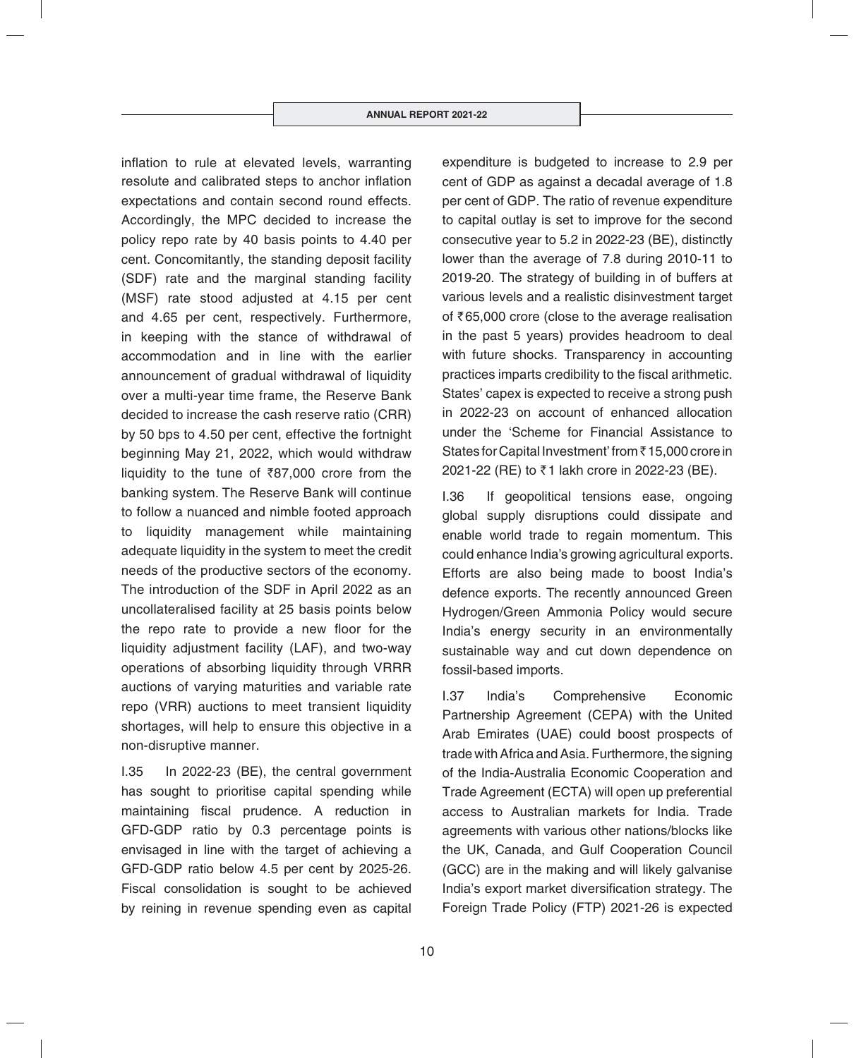inflation to rule at elevated levels, warranting resolute and calibrated steps to anchor inflation expectations and contain second round effects. Accordingly, the MPC decided to increase the policy repo rate by 40 basis points to 4.40 per cent. Concomitantly, the standing deposit facility (SDF) rate and the marginal standing facility (MSF) rate stood adjusted at 4.15 per cent and 4.65 per cent, respectively. Furthermore, in keeping with the stance of withdrawal of accommodation and in line with the earlier announcement of gradual withdrawal of liquidity over a multi-year time frame, the Reserve Bank decided to increase the cash reserve ratio (CRR) by 50 bps to 4.50 per cent, effective the fortnight beginning May 21, 2022, which would withdraw liquidity to the tune of  $\bar{z}87,000$  crore from the banking system. The Reserve Bank will continue to follow a nuanced and nimble footed approach to liquidity management while maintaining adequate liquidity in the system to meet the credit needs of the productive sectors of the economy. The introduction of the SDF in April 2022 as an uncollateralised facility at 25 basis points below the repo rate to provide a new floor for the liquidity adjustment facility (LAF), and two-way operations of absorbing liquidity through VRRR auctions of varying maturities and variable rate repo (VRR) auctions to meet transient liquidity shortages, will help to ensure this objective in a non-disruptive manner.

I.35 In 2022-23 (BE), the central government has sought to prioritise capital spending while maintaining fiscal prudence. A reduction in GFD-GDP ratio by 0.3 percentage points is envisaged in line with the target of achieving a GFD-GDP ratio below 4.5 per cent by 2025-26. Fiscal consolidation is sought to be achieved by reining in revenue spending even as capital expenditure is budgeted to increase to 2.9 per cent of GDP as against a decadal average of 1.8 per cent of GDP. The ratio of revenue expenditure to capital outlay is set to improve for the second consecutive year to 5.2 in 2022-23 (BE), distinctly lower than the average of 7.8 during 2010-11 to 2019-20. The strategy of building in of buffers at various levels and a realistic disinvestment target of  $\bar{\tau}$ 65,000 crore (close to the average realisation in the past 5 years) provides headroom to deal with future shocks. Transparency in accounting practices imparts credibility to the fiscal arithmetic. States' capex is expected to receive a strong push in 2022-23 on account of enhanced allocation under the 'Scheme for Financial Assistance to States for Capital Investment' from ₹15,000 crore in 2021-22 (RE) to ₹1 lakh crore in 2022-23 (BE).

I.36 If geopolitical tensions ease, ongoing global supply disruptions could dissipate and enable world trade to regain momentum. This could enhance India's growing agricultural exports. Efforts are also being made to boost India's defence exports. The recently announced Green Hydrogen/Green Ammonia Policy would secure India's energy security in an environmentally sustainable way and cut down dependence on fossil-based imports.

I.37 India's Comprehensive Economic Partnership Agreement (CEPA) with the United Arab Emirates (UAE) could boost prospects of trade with Africa and Asia. Furthermore, the signing of the India-Australia Economic Cooperation and Trade Agreement (ECTA) will open up preferential access to Australian markets for India. Trade agreements with various other nations/blocks like the UK, Canada, and Gulf Cooperation Council (GCC) are in the making and will likely galvanise India's export market diversification strategy. The Foreign Trade Policy (FTP) 2021-26 is expected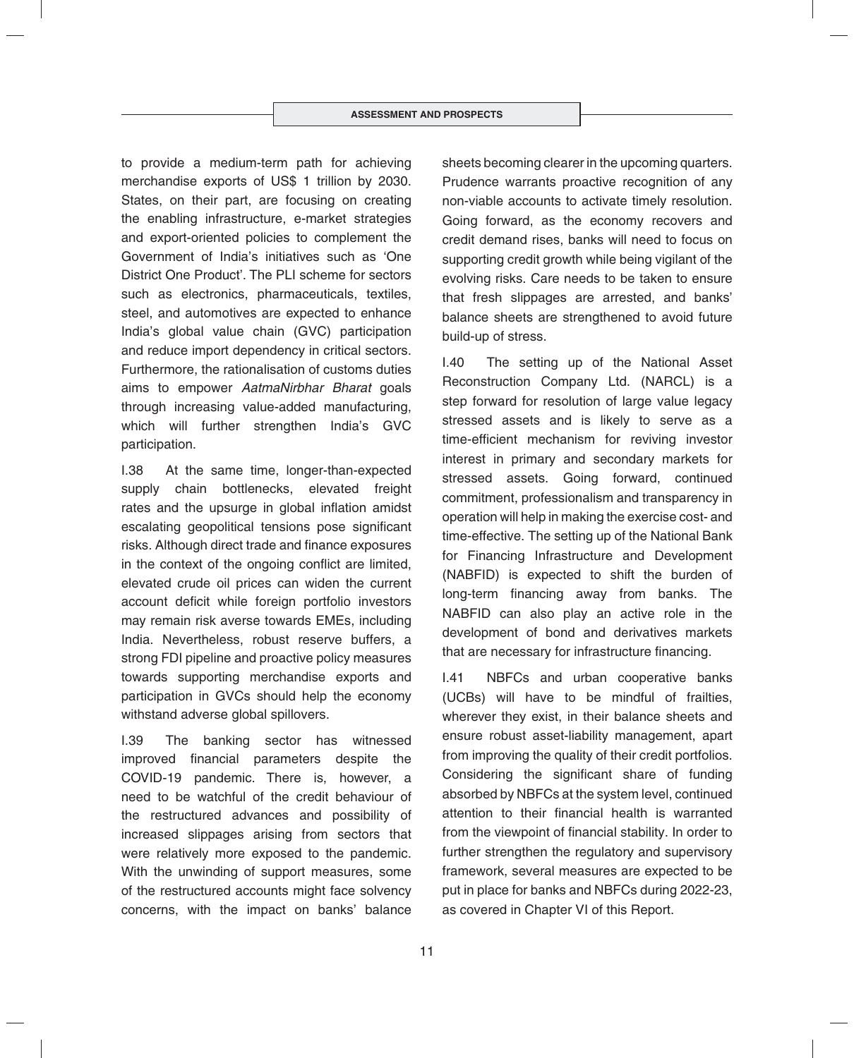to provide a medium-term path for achieving merchandise exports of US\$ 1 trillion by 2030. States, on their part, are focusing on creating the enabling infrastructure, e-market strategies and export-oriented policies to complement the Government of India's initiatives such as 'One District One Product'. The PLI scheme for sectors such as electronics, pharmaceuticals, textiles, steel, and automotives are expected to enhance India's global value chain (GVC) participation and reduce import dependency in critical sectors. Furthermore, the rationalisation of customs duties aims to empower *AatmaNirbhar Bharat* goals through increasing value-added manufacturing, which will further strengthen India's GVC participation.

I.38 At the same time, longer-than-expected supply chain bottlenecks, elevated freight rates and the upsurge in global inflation amidst escalating geopolitical tensions pose significant risks. Although direct trade and finance exposures in the context of the ongoing conflict are limited, elevated crude oil prices can widen the current account deficit while foreign portfolio investors may remain risk averse towards EMEs, including India. Nevertheless, robust reserve buffers, a strong FDI pipeline and proactive policy measures towards supporting merchandise exports and participation in GVCs should help the economy withstand adverse global spillovers.

I.39 The banking sector has witnessed improved financial parameters despite the COVID-19 pandemic. There is, however, a need to be watchful of the credit behaviour of the restructured advances and possibility of increased slippages arising from sectors that were relatively more exposed to the pandemic. With the unwinding of support measures, some of the restructured accounts might face solvency concerns, with the impact on banks' balance

sheets becoming clearer in the upcoming quarters. Prudence warrants proactive recognition of any non-viable accounts to activate timely resolution. Going forward, as the economy recovers and credit demand rises, banks will need to focus on supporting credit growth while being vigilant of the evolving risks. Care needs to be taken to ensure that fresh slippages are arrested, and banks' balance sheets are strengthened to avoid future build-up of stress.

I.40 The setting up of the National Asset Reconstruction Company Ltd. (NARCL) is a step forward for resolution of large value legacy stressed assets and is likely to serve as a time-efficient mechanism for reviving investor interest in primary and secondary markets for stressed assets. Going forward, continued commitment, professionalism and transparency in operation will help in making the exercise cost- and time-effective. The setting up of the National Bank for Financing Infrastructure and Development (NABFID) is expected to shift the burden of long-term financing away from banks. The NABFID can also play an active role in the development of bond and derivatives markets that are necessary for infrastructure financing.

I.41 NBFCs and urban cooperative banks (UCBs) will have to be mindful of frailties, wherever they exist, in their balance sheets and ensure robust asset-liability management, apart from improving the quality of their credit portfolios. Considering the significant share of funding absorbed by NBFCs at the system level, continued attention to their financial health is warranted from the viewpoint of financial stability. In order to further strengthen the regulatory and supervisory framework, several measures are expected to be put in place for banks and NBFCs during 2022-23, as covered in Chapter VI of this Report.